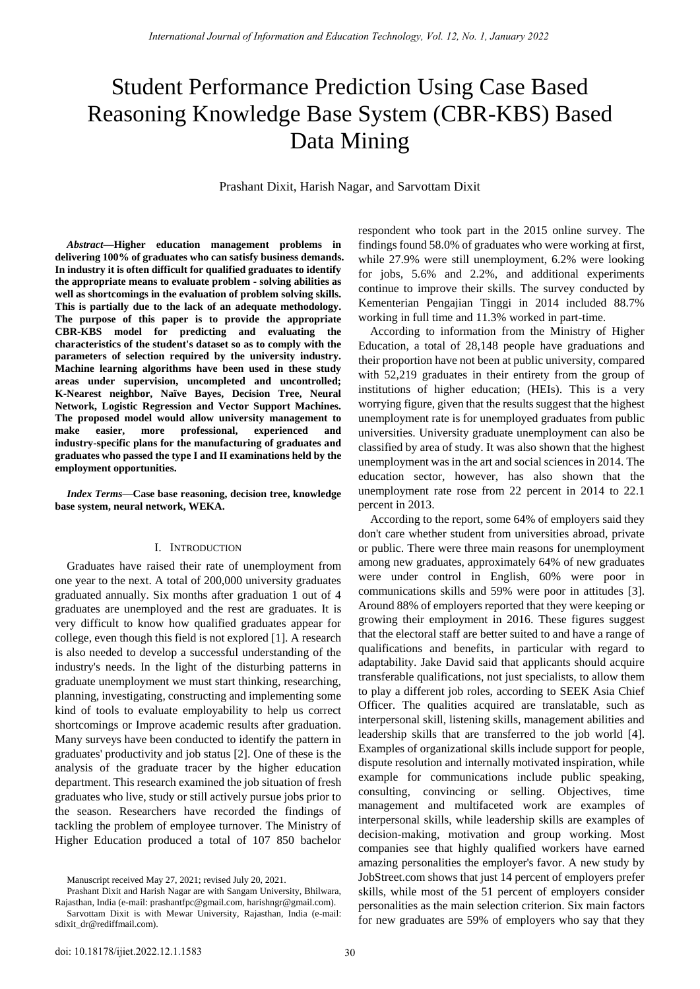# Student Performance Prediction Using Case Based Reasoning Knowledge Base System (CBR-KBS) Based Data Mining

Prashant Dixit, Harish Nagar, and Sarvottam Dixit

*Abstract***—Higher education management problems in delivering 100% of graduates who can satisfy business demands. In industry it is often difficult for qualified graduates to identify the appropriate means to evaluate problem - solving abilities as well as shortcomings in the evaluation of problem solving skills. This is partially due to the lack of an adequate methodology. The purpose of this paper is to provide the appropriate CBR-KBS model for predicting and evaluating the characteristics of the student's dataset so as to comply with the parameters of selection required by the university industry. Machine learning algorithms have been used in these study areas under supervision, uncompleted and uncontrolled; K-Nearest neighbor, Naïve Bayes, Decision Tree, Neural Network, Logistic Regression and Vector Support Machines. The proposed model would allow university management to make easier, more professional, experienced and industry-specific plans for the manufacturing of graduates and graduates who passed the type I and II examinations held by the employment opportunities.** 

*Index Terms***—Case base reasoning, decision tree, knowledge base system, neural network, WEKA.** 

### I. INTRODUCTION

Graduates have raised their rate of unemployment from one year to the next. A total of 200,000 university graduates graduated annually. Six months after graduation 1 out of 4 graduates are unemployed and the rest are graduates. It is very difficult to know how qualified graduates appear for college, even though this field is not explored [1]. A research is also needed to develop a successful understanding of the industry's needs. In the light of the disturbing patterns in graduate unemployment we must start thinking, researching, planning, investigating, constructing and implementing some kind of tools to evaluate employability to help us correct shortcomings or Improve academic results after graduation. Many surveys have been conducted to identify the pattern in graduates' productivity and job status [2]. One of these is the analysis of the graduate tracer by the higher education department. This research examined the job situation of fresh graduates who live, study or still actively pursue jobs prior to the season. Researchers have recorded the findings of tackling the problem of employee turnover. The Ministry of Higher Education produced a total of 107 850 bachelor

Manuscript received May 27, 2021; revised July 20, 2021.

Prashant Dixit and Harish Nagar are with Sangam University, Bhilwara, Rajasthan, India (e-mail: [prashantfpc@gmail.com,](mailto:prashantfpc@gmail.com) harishngr@gmail.com).

Sarvottam Dixit is with Mewar University, Rajasthan, India (e-mail: sdixit\_dr@rediffmail.com).

respondent who took part in the 2015 online survey. The findings found 58.0% of graduates who were working at first, while 27.9% were still unemployment, 6.2% were looking for jobs, 5.6% and 2.2%, and additional experiments continue to improve their skills. The survey conducted by Kementerian Pengajian Tinggi in 2014 included 88.7% working in full time and 11.3% worked in part-time.

According to information from the Ministry of Higher Education, a total of 28,148 people have graduations and their proportion have not been at public university, compared with 52,219 graduates in their entirety from the group of institutions of higher education; (HEIs). This is a very worrying figure, given that the results suggest that the highest unemployment rate is for unemployed graduates from public universities. University graduate unemployment can also be classified by area of study. It was also shown that the highest unemployment was in the art and social sciences in 2014. The education sector, however, has also shown that the unemployment rate rose from 22 percent in 2014 to 22.1 percent in 2013.

According to the report, some 64% of employers said they don't care whether student from universities abroad, private or public. There were three main reasons for unemployment among new graduates, approximately 64% of new graduates were under control in English, 60% were poor in communications skills and 59% were poor in attitudes [3]. Around 88% of employers reported that they were keeping or growing their employment in 2016. These figures suggest that the electoral staff are better suited to and have a range of qualifications and benefits, in particular with regard to adaptability. Jake David said that applicants should acquire transferable qualifications, not just specialists, to allow them to play a different job roles, according to SEEK Asia Chief Officer. The qualities acquired are translatable, such as interpersonal skill, listening skills, management abilities and leadership skills that are transferred to the job world [4]. Examples of organizational skills include support for people, dispute resolution and internally motivated inspiration, while example for communications include public speaking, consulting, convincing or selling. Objectives, time management and multifaceted work are examples of interpersonal skills, while leadership skills are examples of decision-making, motivation and group working. Most companies see that highly qualified workers have earned amazing personalities the employer's favor. A new study by JobStreet.com shows that just 14 percent of employers prefer skills, while most of the 51 percent of employers consider personalities as the main selection criterion. Six main factors for new graduates are 59% of employers who say that they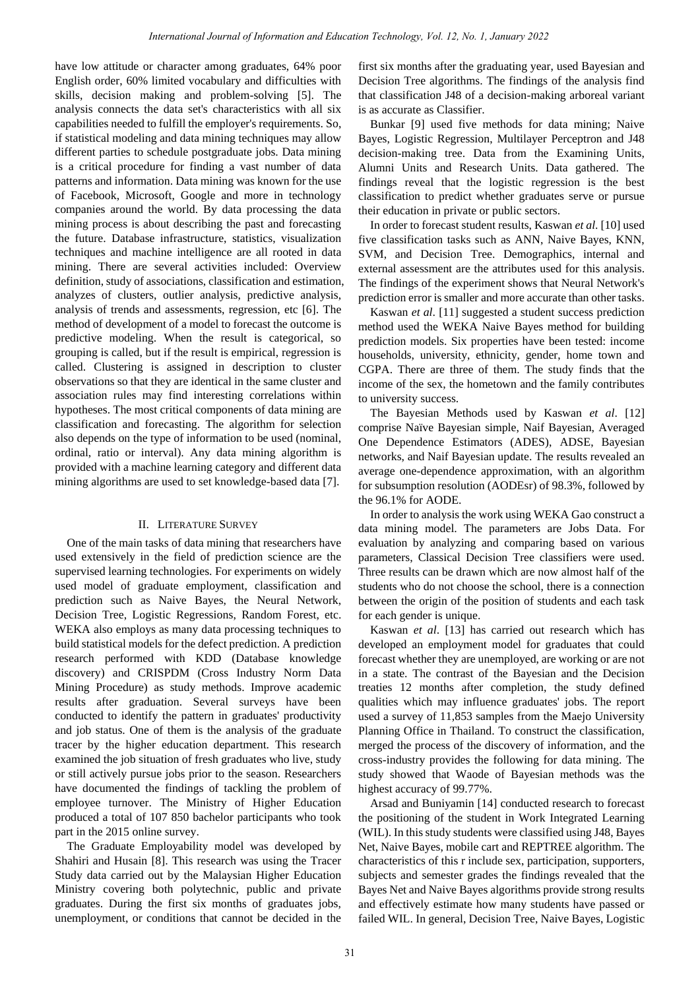have low attitude or character among graduates, 64% poor English order, 60% limited vocabulary and difficulties with skills, decision making and problem-solving [5]. The analysis connects the data set's characteristics with all six capabilities needed to fulfill the employer's requirements. So, if statistical modeling and data mining techniques may allow different parties to schedule postgraduate jobs. Data mining is a critical procedure for finding a vast number of data patterns and information. Data mining was known for the use of Facebook, Microsoft, Google and more in technology companies around the world. By data processing the data mining process is about describing the past and forecasting the future. Database infrastructure, statistics, visualization techniques and machine intelligence are all rooted in data mining. There are several activities included: Overview definition, study of associations, classification and estimation, analyzes of clusters, outlier analysis, predictive analysis, analysis of trends and assessments, regression, etc [6]. The method of development of a model to forecast the outcome is predictive modeling. When the result is categorical, so grouping is called, but if the result is empirical, regression is called. Clustering is assigned in description to cluster observations so that they are identical in the same cluster and association rules may find interesting correlations within hypotheses. The most critical components of data mining are classification and forecasting. The algorithm for selection also depends on the type of information to be used (nominal, ordinal, ratio or interval). Any data mining algorithm is provided with a machine learning category and different data mining algorithms are used to set knowledge-based data [7].

## II. LITERATURE SURVEY

One of the main tasks of data mining that researchers have used extensively in the field of prediction science are the supervised learning technologies. For experiments on widely used model of graduate employment, classification and prediction such as Naive Bayes, the Neural Network, Decision Tree, Logistic Regressions, Random Forest, etc. WEKA also employs as many data processing techniques to build statistical models for the defect prediction. A prediction research performed with KDD (Database knowledge discovery) and CRISPDM (Cross Industry Norm Data Mining Procedure) as study methods. Improve academic results after graduation. Several surveys have been conducted to identify the pattern in graduates' productivity and job status. One of them is the analysis of the graduate tracer by the higher education department. This research examined the job situation of fresh graduates who live, study or still actively pursue jobs prior to the season. Researchers have documented the findings of tackling the problem of employee turnover. The Ministry of Higher Education produced a total of 107 850 bachelor participants who took part in the 2015 online survey.

The Graduate Employability model was developed by Shahiri and Husain [8]. This research was using the Tracer Study data carried out by the Malaysian Higher Education Ministry covering both polytechnic, public and private graduates. During the first six months of graduates jobs, unemployment, or conditions that cannot be decided in the first six months after the graduating year, used Bayesian and Decision Tree algorithms. The findings of the analysis find that classification J48 of a decision-making arboreal variant is as accurate as Classifier.

Bunkar [9] used five methods for data mining; Naive Bayes, Logistic Regression, Multilayer Perceptron and J48 decision-making tree. Data from the Examining Units, Alumni Units and Research Units. Data gathered. The findings reveal that the logistic regression is the best classification to predict whether graduates serve or pursue their education in private or public sectors.

In order to forecast student results, Kaswan *et al*. [10] used five classification tasks such as ANN, Naive Bayes, KNN, SVM, and Decision Tree. Demographics, internal and external assessment are the attributes used for this analysis. The findings of the experiment shows that Neural Network's prediction error is smaller and more accurate than other tasks.

Kaswan *et al*. [11] suggested a student success prediction method used the WEKA Naive Bayes method for building prediction models. Six properties have been tested: income households, university, ethnicity, gender, home town and CGPA. There are three of them. The study finds that the income of the sex, the hometown and the family contributes to university success.

The Bayesian Methods used by Kaswan *et al*. [12] comprise Naïve Bayesian simple, Naif Bayesian, Averaged One Dependence Estimators (ADES), ADSE, Bayesian networks, and Naif Bayesian update. The results revealed an average one-dependence approximation, with an algorithm for subsumption resolution (AODEsr) of 98.3%, followed by the 96.1% for AODE.

In order to analysis the work using WEKA Gao construct a data mining model. The parameters are Jobs Data. For evaluation by analyzing and comparing based on various parameters, Classical Decision Tree classifiers were used. Three results can be drawn which are now almost half of the students who do not choose the school, there is a connection between the origin of the position of students and each task for each gender is unique.

Kaswan *et al*. [13] has carried out research which has developed an employment model for graduates that could forecast whether they are unemployed, are working or are not in a state. The contrast of the Bayesian and the Decision treaties 12 months after completion, the study defined qualities which may influence graduates' jobs. The report used a survey of 11,853 samples from the Maejo University Planning Office in Thailand. To construct the classification, merged the process of the discovery of information, and the cross-industry provides the following for data mining. The study showed that Waode of Bayesian methods was the highest accuracy of 99.77%.

Arsad and Buniyamin [14] conducted research to forecast the positioning of the student in Work Integrated Learning (WIL). In this study students were classified using J48, Bayes Net, Naive Bayes, mobile cart and REPTREE algorithm. The characteristics of this r include sex, participation, supporters, subjects and semester grades the findings revealed that the Bayes Net and Naive Bayes algorithms provide strong results and effectively estimate how many students have passed or failed WIL. In general, Decision Tree, Naive Bayes, Logistic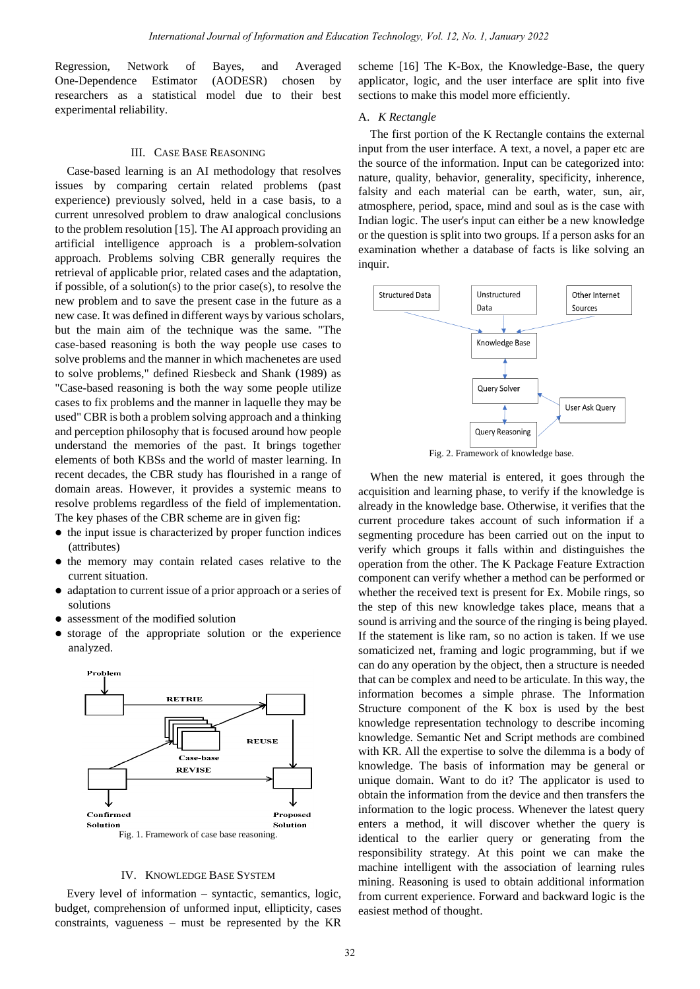Regression, Network of Bayes, and Averaged One-Dependence Estimator (AODESR) chosen by researchers as a statistical model due to their best experimental reliability.

# III. CASE BASE REASONING

Case-based learning is an AI methodology that resolves issues by comparing certain related problems (past experience) previously solved, held in a case basis, to a current unresolved problem to draw analogical conclusions to the problem resolution [15]. The AI approach providing an artificial intelligence approach is a problem-solvation approach. Problems solving CBR generally requires the retrieval of applicable prior, related cases and the adaptation, if possible, of a solution(s) to the prior case(s), to resolve the new problem and to save the present case in the future as a new case. It was defined in different ways by various scholars, but the main aim of the technique was the same. "The case-based reasoning is both the way people use cases to solve problems and the manner in which machenetes are used to solve problems," defined Riesbeck and Shank (1989) as "Case-based reasoning is both the way some people utilize cases to fix problems and the manner in laquelle they may be used" CBR is both a problem solving approach and a thinking and perception philosophy that is focused around how people understand the memories of the past. It brings together elements of both KBSs and the world of master learning. In recent decades, the CBR study has flourished in a range of domain areas. However, it provides a systemic means to resolve problems regardless of the field of implementation. The key phases of the CBR scheme are in given fig:

- $\bullet$  the input issue is characterized by proper function indices (attributes)
- $\bullet$  the memory may contain related cases relative to the current situation.
- adaptation to current issue of a prior approach or a series of solutions
- assessment of the modified solution
- storage of the appropriate solution or the experience analyzed.



## IV. KNOWLEDGE BASE SYSTEM

Every level of information – syntactic, semantics, logic, budget, comprehension of unformed input, ellipticity, cases constraints, vagueness – must be represented by the KR

scheme [16] The K-Box, the Knowledge-Base, the query applicator, logic, and the user interface are split into five sections to make this model more efficiently.

#### A. *K Rectangle*

The first portion of the K Rectangle contains the external input from the user interface. A text, a novel, a paper etc are the source of the information. Input can be categorized into: nature, quality, behavior, generality, specificity, inherence, falsity and each material can be earth, water, sun, air, atmosphere, period, space, mind and soul as is the case with Indian logic. The user's input can either be a new knowledge or the question is split into two groups. If a person asks for an examination whether a database of facts is like solving an inquir.



Fig. 2. Framework of knowledge base.

When the new material is entered, it goes through the acquisition and learning phase, to verify if the knowledge is already in the knowledge base. Otherwise, it verifies that the current procedure takes account of such information if a segmenting procedure has been carried out on the input to verify which groups it falls within and distinguishes the operation from the other. The K Package Feature Extraction component can verify whether a method can be performed or whether the received text is present for Ex. Mobile rings, so the step of this new knowledge takes place, means that a sound is arriving and the source of the ringing is being played. If the statement is like ram, so no action is taken. If we use somaticized net, framing and logic programming, but if we can do any operation by the object, then a structure is needed that can be complex and need to be articulate. In this way, the information becomes a simple phrase. The Information Structure component of the K box is used by the best knowledge representation technology to describe incoming knowledge. Semantic Net and Script methods are combined with KR. All the expertise to solve the dilemma is a body of knowledge. The basis of information may be general or unique domain. Want to do it? The applicator is used to obtain the information from the device and then transfers the information to the logic process. Whenever the latest query enters a method, it will discover whether the query is identical to the earlier query or generating from the responsibility strategy. At this point we can make the machine intelligent with the association of learning rules mining. Reasoning is used to obtain additional information from current experience. Forward and backward logic is the easiest method of thought.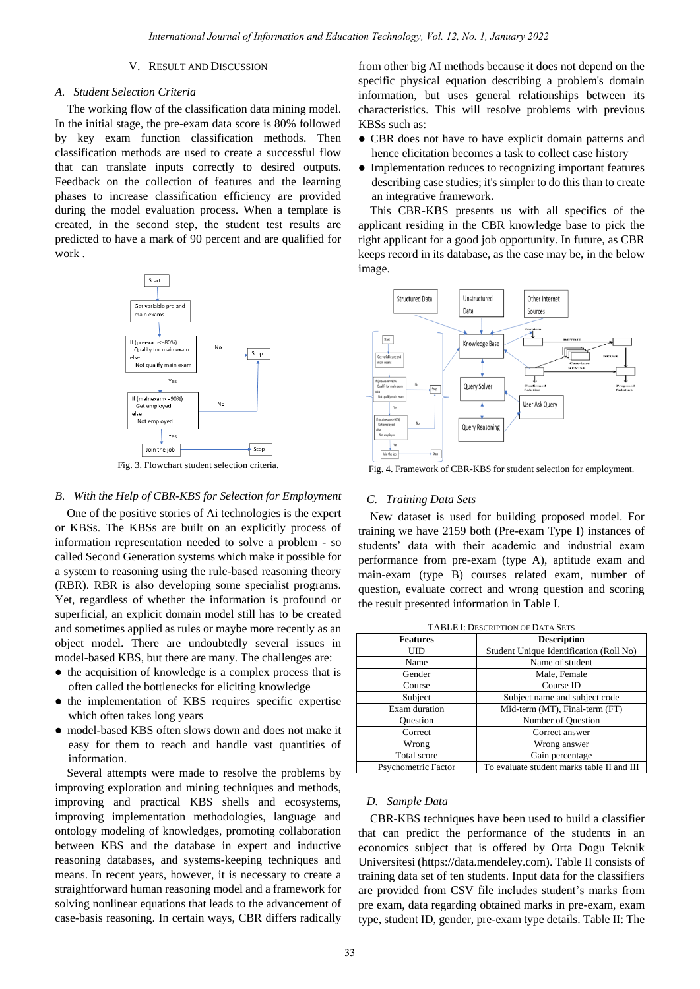## V. RESULT AND DISCUSSION

## *A. Student Selection Criteria*

The working flow of the classification data mining model. In the initial stage, the pre-exam data score is 80% followed by key exam function classification methods. Then classification methods are used to create a successful flow that can translate inputs correctly to desired outputs. Feedback on the collection of features and the learning phases to increase classification efficiency are provided during the model evaluation process. When a template is created, in the second step, the student test results are predicted to have a mark of 90 percent and are qualified for work .



Fig. 3. Flowchart student selection criteria.

## *B. With the Help of CBR-KBS for Selection for Employment*

One of the positive stories of Ai technologies is the expert or KBSs. The KBSs are built on an explicitly process of information representation needed to solve a problem - so called Second Generation systems which make it possible for a system to reasoning using the rule-based reasoning theory (RBR). RBR is also developing some specialist programs. Yet, regardless of whether the information is profound or superficial, an explicit domain model still has to be created and sometimes applied as rules or maybe more recently as an object model. There are undoubtedly several issues in model-based KBS, but there are many. The challenges are:

- the acquisition of knowledge is a complex process that is often called the bottlenecks for eliciting knowledge
- the implementation of KBS requires specific expertise which often takes long years
- model-based KBS often slows down and does not make it easy for them to reach and handle vast quantities of information.

Several attempts were made to resolve the problems by improving exploration and mining techniques and methods, improving and practical KBS shells and ecosystems, improving implementation methodologies, language and ontology modeling of knowledges, promoting collaboration between KBS and the database in expert and inductive reasoning databases, and systems-keeping techniques and means. In recent years, however, it is necessary to create a straightforward human reasoning model and a framework for solving nonlinear equations that leads to the advancement of case-basis reasoning. In certain ways, CBR differs radically

from other big AI methods because it does not depend on the specific physical equation describing a problem's domain information, but uses general relationships between its characteristics. This will resolve problems with previous KBSs such as:

- CBR does not have to have explicit domain patterns and hence elicitation becomes a task to collect case history
- Implementation reduces to recognizing important features describing case studies; it's simpler to do this than to create an integrative framework.

This CBR-KBS presents us with all specifics of the applicant residing in the CBR knowledge base to pick the right applicant for a good job opportunity. In future, as CBR keeps record in its database, as the case may be, in the below image.



Fig. 4. Framework of CBR-KBS for student selection for employment.

#### *C. Training Data Sets*

New dataset is used for building proposed model. For training we have 2159 both (Pre-exam Type I) instances of students' data with their academic and industrial exam performance from pre-exam (type A), aptitude exam and main-exam (type B) courses related exam, number of question, evaluate correct and wrong question and scoring the result presented information in Table I.

TABLE I: DESCRIPTION OF DATA SETS

| I ABLE I. DESCRIPTION OF DATA SETS |                                            |  |  |  |
|------------------------------------|--------------------------------------------|--|--|--|
| <b>Features</b>                    | <b>Description</b>                         |  |  |  |
| UID                                | Student Unique Identification (Roll No)    |  |  |  |
| Name                               | Name of student                            |  |  |  |
| Gender                             | Male, Female                               |  |  |  |
| Course                             | Course ID                                  |  |  |  |
| Subject                            | Subject name and subject code              |  |  |  |
| Exam duration                      | Mid-term (MT), Final-term (FT)             |  |  |  |
| <b>Question</b>                    | Number of Question                         |  |  |  |
| Correct                            | Correct answer                             |  |  |  |
| Wrong                              | Wrong answer                               |  |  |  |
| Total score                        | Gain percentage                            |  |  |  |
| Psychometric Factor                | To evaluate student marks table II and III |  |  |  |

# *D. Sample Data*

CBR-KBS techniques have been used to build a classifier that can predict the performance of the students in an economics subject that is offered by Orta Dogu Teknik Universitesi (https://data.mendeley.com). Table II consists of training data set of ten students. Input data for the classifiers are provided from CSV file includes student's marks from pre exam, data regarding obtained marks in pre-exam, exam type, student ID, gender, pre-exam type details. Table II: The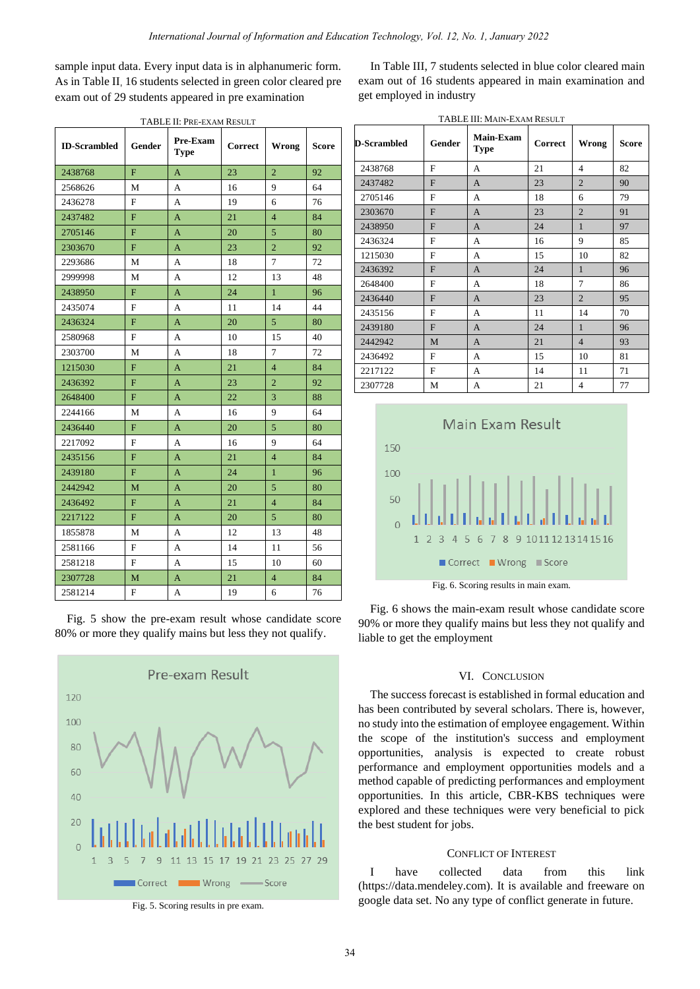sample input data. Every input data is in alphanumeric form. As in Table II, 16 students selected in green color cleared pre exam out of 29 students appeared in pre examination

| <b>ID-Scrambled</b> | Gender       | Pre-Exam<br><b>Type</b> | Correct | <b>Wrong</b>   | <b>Score</b> |
|---------------------|--------------|-------------------------|---------|----------------|--------------|
| 2438768             | $\mathbf F$  | A                       | 23      | $\overline{2}$ | 92           |
| 2568626             | М            | A                       | 16      | 9              | 64           |
| 2436278             | F            | A                       | 19      | 6              | 76           |
| 2437482             | F            | A                       | 21      | $\overline{4}$ | 84           |
| 2705146             | F            | A                       | 20      | 5              | 80           |
| 2303670             | F            | A                       | 23      | $\overline{2}$ | 92           |
| 2293686             | М            | А                       | 18      | 7              | 72           |
| 2999998             | М            | A                       | 12      | 13             | 48           |
| 2438950             | $\mathbf{F}$ | A                       | 24      | $\mathbf{1}$   | 96           |
| 2435074             | F            | А                       | 11      | 14             | 44           |
| 2436324             | F            | A                       | 20      | 5              | 80           |
| 2580968             | F            | А                       | 10      | 15             | 40           |
| 2303700             | М            | А                       | 18      | 7              | 72           |
| 1215030             | F            | A                       | 21      | $\overline{4}$ | 84           |
| 2436392             | $\mathbf{F}$ | A                       | 23      | $\overline{2}$ | 92           |
| 2648400             | $\mathbf F$  | A                       | 22      | 3              | 88           |
| 2244166             | М            | А                       | 16      | 9              | 64           |
| 2436440             | $\mathbf{F}$ | A                       | 20      | 5              | 80           |
| 2217092             | F            | А                       | 16      | 9              | 64           |
| 2435156             | F            | A                       | 21      | $\overline{4}$ | 84           |
| 2439180             | F            | A                       | 24      | $\mathbf{1}$   | 96           |
| 2442942             | M            | A                       | 20      | 5              | 80           |
| 2436492             | F            | A                       | 21      | $\overline{4}$ | 84           |
| 2217122             | F            | A                       | 20      | 5              | 80           |
| 1855878             | М            | А                       | 12      | 13             | 48           |
| 2581166             | $\mathbf F$  | А                       | 14      | 11             | 56           |
| 2581218             | F            | А                       | 15      | 10             | 60           |
| 2307728             | $\mathbf{M}$ | A                       | 21      | 4              | 84           |
| 2581214             | $\mathbf F$  | A                       | 19      | 6              | 76           |

Fig. 5 show the pre-exam result whose candidate score 80% or more they qualify mains but less they not qualify.



Fig. 5. Scoring results in pre exam.

In Table III, 7 students selected in blue color cleared main exam out of 16 students appeared in main examination and get employed in industry

|--|

| <b>D-Scrambled</b> | Gender       | <b>Main-Exam</b><br><b>Type</b> | Correct | Wrong          | <b>Score</b> |
|--------------------|--------------|---------------------------------|---------|----------------|--------------|
| 2438768            | F            | A                               | 21      | 4              | 82           |
| 2437482            | F            | $\mathsf{A}$                    | 23      | $\overline{2}$ | 90           |
| 2705146            | F            | A                               | 18      | 6              | 79           |
| 2303670            | $\mathbf{F}$ | $\mathbf{A}$                    | 23      | $\overline{2}$ | 91           |
| 2438950            | $\mathbf{F}$ | A                               | 24      | $\mathbf{1}$   | 97           |
| 2436324            | F            | A                               | 16      | 9              | 85           |
| 1215030            | $\mathbf F$  | А                               | 15      | 10             | 82           |
| 2436392            | $\mathbf{F}$ | $\mathsf{A}$                    | 24      | $\mathbf{1}$   | 96           |
| 2648400            | F            | А                               | 18      | 7              | 86           |
| 2436440            | F            | A                               | 23      | $\overline{2}$ | 95           |
| 2435156            | F            | A                               | 11      | 14             | 70           |
| 2439180            | $\mathbf{F}$ | A                               | 24      | $\mathbf{1}$   | 96           |
| 2442942            | M            | A                               | 21      | $\overline{4}$ | 93           |
| 2436492            | F            | A                               | 15      | 10             | 81           |
| 2217122            | F            | A                               | 14      | 11             | 71           |
| 2307728            | М            | A                               | 21      | 4              | 77           |



Fig. 6 shows the main-exam result whose candidate score 90% or more they qualify mains but less they not qualify and liable to get the employment

## VI. CONCLUSION

The success forecast is established in formal education and has been contributed by several scholars. There is, however, no study into the estimation of employee engagement. Within the scope of the institution's success and employment opportunities, analysis is expected to create robust performance and employment opportunities models and a method capable of predicting performances and employment opportunities. In this article, CBR-KBS techniques were explored and these techniques were very beneficial to pick the best student for jobs.

## CONFLICT OF INTEREST

I have collected data from this link [\(https://data.mendeley.com\)](https://data.mendeley.com/). It is available and freeware on google data set. No any type of conflict generate in future.